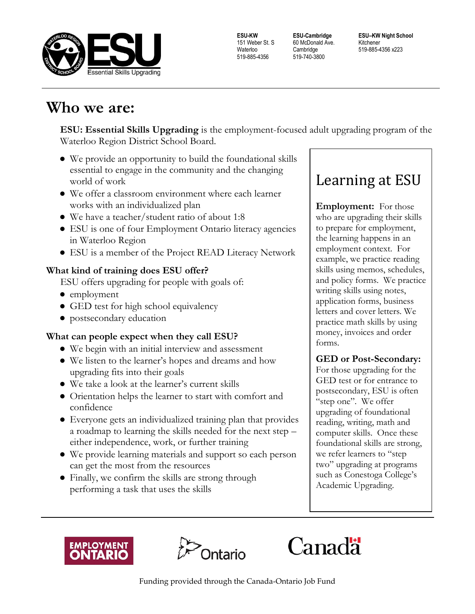

**ESU-KW** 151 Weber St. S Waterloo 519-885-4356

**ESU-Cambridge** 60 McDonald Ave. **Cambridge** 519-740-3800

**ESU–KW Night School** Kitchener 519-885-4356 x223

## **Who we are:**

**ESU: Essential Skills Upgrading** is the employment-focused adult upgrading program of the Waterloo Region District School Board.

- We provide an opportunity to build the foundational skills essential to engage in the community and the changing world of work
- We offer a classroom environment where each learner works with an individualized plan
- We have a teacher/student ratio of about 1:8
- ESU is one of four Employment Ontario literacy agencies in Waterloo Region
- ESU is a member of the Project READ Literacy Network

## **What kind of training does ESU offer?**

ESU offers upgrading for people with goals of:

- employment
- GED test for high school equivalency
- postsecondary education

## **What can people expect when they call ESU?**

- We begin with an initial interview and assessment
- We listen to the learner's hopes and dreams and how upgrading fits into their goals
- We take a look at the learner's current skills
- Orientation helps the learner to start with comfort and confidence
- Everyone gets an individualized training plan that provides a roadmap to learning the skills needed for the next step – either independence, work, or further training
- We provide learning materials and support so each person can get the most from the resources
- Finally, we confirm the skills are strong through performing a task that uses the skills

# Learning at ESU

**Employment:** For those who are upgrading their skills to prepare for employment, the learning happens in an employment context. For example, we practice reading skills using memos, schedules, and policy forms. We practice writing skills using notes, application forms, business letters and cover letters. We practice math skills by using money, invoices and order forms.

## **GED or Post-Secondary:**

For those upgrading for the GED test or for entrance to postsecondary, ESU is often "step one". We offer upgrading of foundational reading, writing, math and computer skills. Once these foundational skills are strong, we refer learners to "step two" upgrading at programs such as Conestoga College's Academic Upgrading.